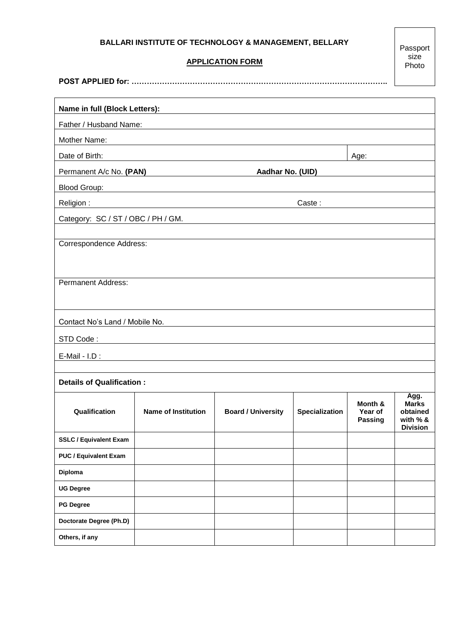## **BALLARI INSTITUTE OF TECHNOLOGY & MANAGEMENT, BELLARY**

## **APPLICATION FORM**

Passport size<br>Photo

**POST APPLIED for: ………………………………………………………………………………………..**

| Name in full (Block Letters):<br><u> 1980 - John Stein, Amerikaansk politiker (* 1918)</u> |                                                             |                           |                       |                                      |                                                                 |  |  |  |  |
|--------------------------------------------------------------------------------------------|-------------------------------------------------------------|---------------------------|-----------------------|--------------------------------------|-----------------------------------------------------------------|--|--|--|--|
| Father / Husband Name:                                                                     |                                                             |                           |                       |                                      |                                                                 |  |  |  |  |
| Mother Name:                                                                               | <u> 1989 - Johann Stein, amerikansk politiker (</u> † 1908) |                           |                       |                                      |                                                                 |  |  |  |  |
| Date of Birth:                                                                             |                                                             |                           |                       | Age:                                 |                                                                 |  |  |  |  |
|                                                                                            | Permanent A/c No. (PAN)                                     | Aadhar No. (UID)          |                       |                                      |                                                                 |  |  |  |  |
|                                                                                            |                                                             |                           |                       |                                      |                                                                 |  |  |  |  |
| Religion :                                                                                 | <u> 1980 - Johann Barbara, martxa amerikan bashkar (</u>    |                           |                       |                                      |                                                                 |  |  |  |  |
| Category: SC / ST / OBC / PH / GM.                                                         |                                                             |                           |                       |                                      |                                                                 |  |  |  |  |
| Correspondence Address:                                                                    |                                                             |                           |                       |                                      |                                                                 |  |  |  |  |
| <b>Permanent Address:</b>                                                                  |                                                             |                           |                       |                                      |                                                                 |  |  |  |  |
| Contact No's Land / Mobile No.                                                             |                                                             |                           |                       |                                      |                                                                 |  |  |  |  |
|                                                                                            |                                                             |                           |                       |                                      |                                                                 |  |  |  |  |
|                                                                                            |                                                             |                           |                       |                                      |                                                                 |  |  |  |  |
| <b>Details of Qualification:</b>                                                           |                                                             |                           |                       |                                      |                                                                 |  |  |  |  |
| Qualification                                                                              | <b>Name of Institution</b>                                  | <b>Board / University</b> | <b>Specialization</b> | Month &<br>Year of<br><b>Passing</b> | Agg.<br><b>Marks</b><br>obtained<br>with % &<br><b>Division</b> |  |  |  |  |
| <b>SSLC / Equivalent Exam</b>                                                              |                                                             |                           |                       |                                      |                                                                 |  |  |  |  |
| <b>PUC / Equivalent Exam</b>                                                               |                                                             |                           |                       |                                      |                                                                 |  |  |  |  |
| Diploma                                                                                    |                                                             |                           |                       |                                      |                                                                 |  |  |  |  |
| <b>UG Degree</b>                                                                           |                                                             |                           |                       |                                      |                                                                 |  |  |  |  |
| <b>PG Degree</b>                                                                           |                                                             |                           |                       |                                      |                                                                 |  |  |  |  |
| Doctorate Degree (Ph.D)                                                                    |                                                             |                           |                       |                                      |                                                                 |  |  |  |  |
| Others, if any                                                                             |                                                             |                           |                       |                                      |                                                                 |  |  |  |  |